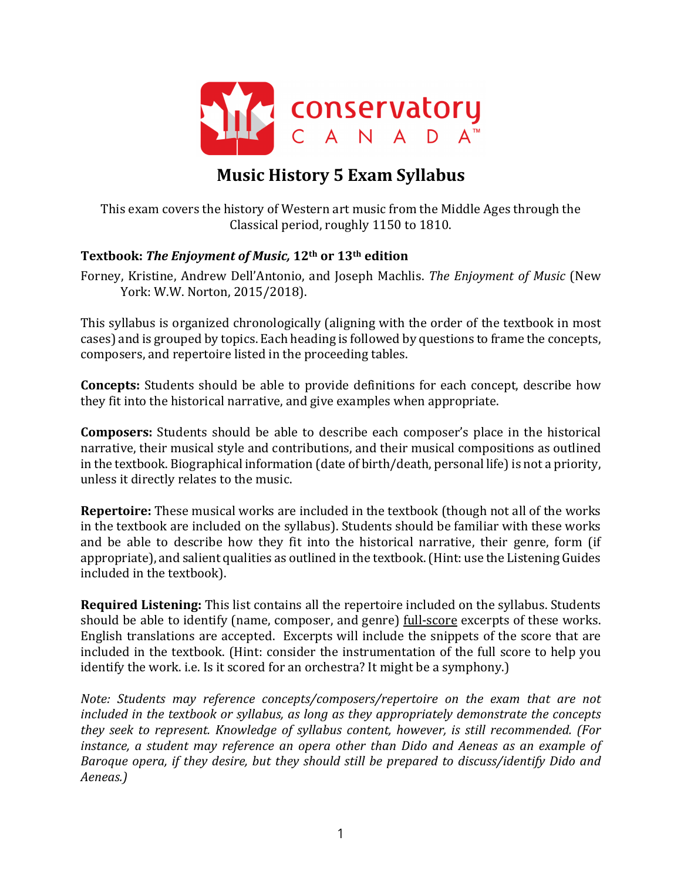

# **Music History 5 Exam Syllabus**

This exam covers the history of Western art music from the Middle Ages through the Classical period, roughly 1150 to 1810.

#### **Textbook: The Enjoyment of Music, 12<sup>th</sup> or 13<sup>th</sup> edition**

Forney, Kristine, Andrew Dell'Antonio, and Joseph Machlis. The Enjoyment of Music (New York: W.W. Norton, 2015/2018).

This syllabus is organized chronologically (aligning with the order of the textbook in most cases) and is grouped by topics. Each heading is followed by questions to frame the concepts, composers, and repertoire listed in the proceeding tables.

**Concepts:** Students should be able to provide definitions for each concept, describe how they fit into the historical narrative, and give examples when appropriate.

**Composers:** Students should be able to describe each composer's place in the historical narrative, their musical style and contributions, and their musical compositions as outlined in the textbook. Biographical information (date of birth/death, personal life) is not a priority, unless it directly relates to the music.

**Repertoire:** These musical works are included in the textbook (though not all of the works in the textbook are included on the syllabus). Students should be familiar with these works and be able to describe how they fit into the historical narrative, their genre, form (if appropriate), and salient qualities as outlined in the textbook. (Hint: use the Listening Guides included in the textbook).

**Required Listening:** This list contains all the repertoire included on the syllabus. Students should be able to identify (name, composer, and genre) full-score excerpts of these works. English translations are accepted. Excerpts will include the snippets of the score that are included in the textbook. (Hint: consider the instrumentation of the full score to help you identify the work. i.e. Is it scored for an orchestra? It might be a symphony.)

*Note: Students may reference concepts/composers/repertoire on the exam that are not included* in the textbook or syllabus, as long as they appropriately demonstrate the concepts *they seek to represent. Knowledge of syllabus content, however, is still recommended. (For instance, a student may reference an opera other than Dido and Aeneas as an example of Baroque* opera, if they desire, but they should still be prepared to discuss/identify Dido and *Aeneas.)*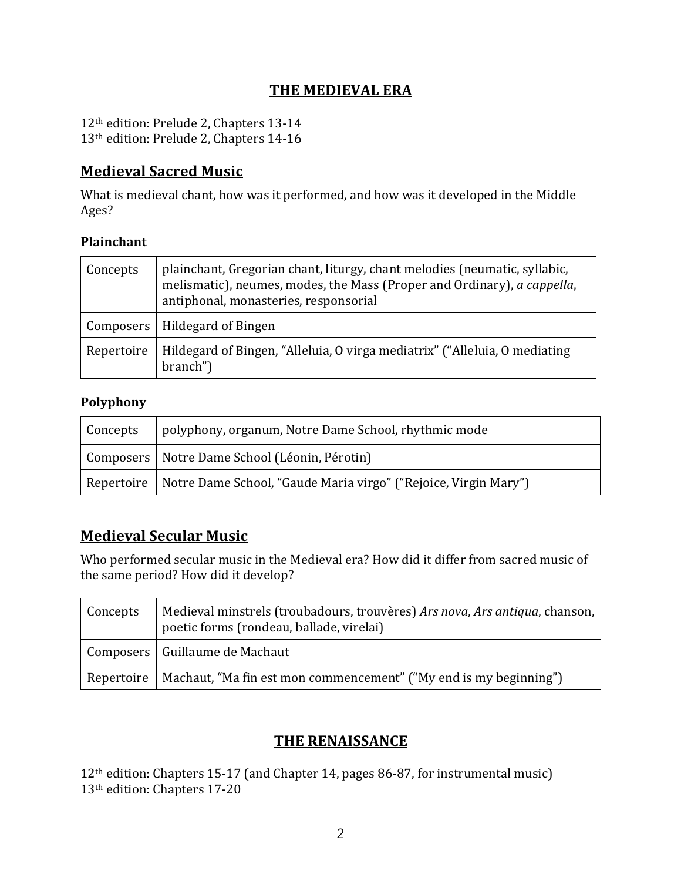### **THE MEDIEVAL ERA**

12<sup>th</sup> edition: Prelude 2, Chapters 13-14 13<sup>th</sup> edition: Prelude 2, Chapters 14-16

### **Medieval Sacred Music**

What is medieval chant, how was it performed, and how was it developed in the Middle Ages?

#### **Plainchant**

| Concepts   | plainchant, Gregorian chant, liturgy, chant melodies (neumatic, syllabic,<br>melismatic), neumes, modes, the Mass (Proper and Ordinary), a cappella,<br>antiphonal, monasteries, responsorial |
|------------|-----------------------------------------------------------------------------------------------------------------------------------------------------------------------------------------------|
|            | Composers   Hildegard of Bingen                                                                                                                                                               |
| Repertoire | Hildegard of Bingen, "Alleluia, O virga mediatrix" ("Alleluia, O mediating<br>branch")                                                                                                        |

#### **Polyphony**

| Concepts | polyphony, organum, Notre Dame School, rhythmic mode                         |
|----------|------------------------------------------------------------------------------|
|          | Composers   Notre Dame School (Léonin, Pérotin)                              |
|          | Repertoire   Notre Dame School, "Gaude Maria virgo" ("Rejoice, Virgin Mary") |

### **Medieval Secular Music**

Who performed secular music in the Medieval era? How did it differ from sacred music of the same period? How did it develop?

| Concepts | Medieval minstrels (troubadours, trouvères) Ars nova, Ars antiqua, chanson,  <br>poetic forms (rondeau, ballade, virelai) |
|----------|---------------------------------------------------------------------------------------------------------------------------|
|          | Composers   Guillaume de Machaut                                                                                          |
|          | Repertoire   Machaut, "Ma fin est mon commencement" ("My end is my beginning")                                            |

### **THE RENAISSANCE**

12<sup>th</sup> edition: Chapters 15-17 (and Chapter 14, pages 86-87, for instrumental music) 13<sup>th</sup> edition: Chapters 17-20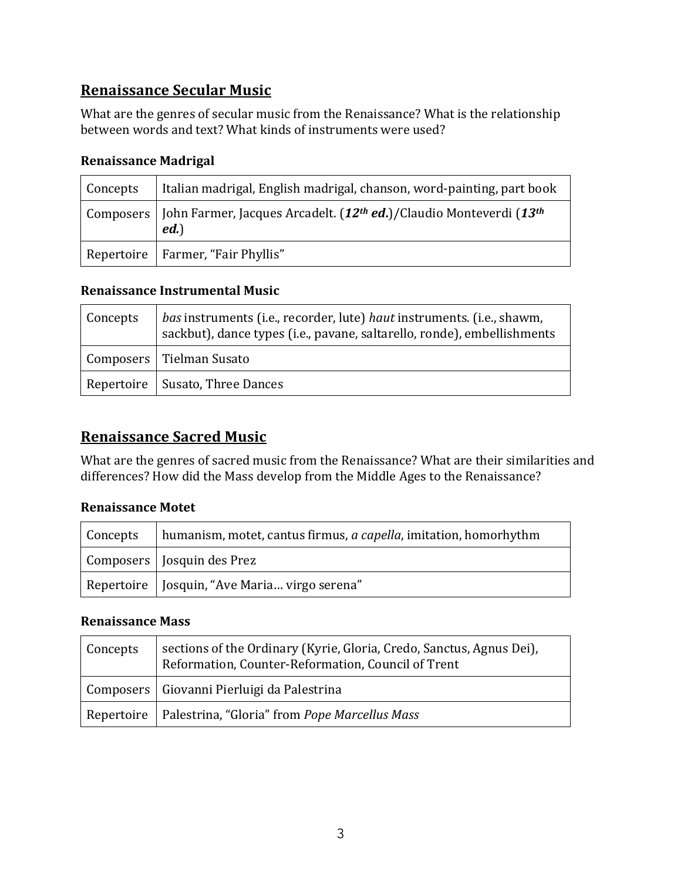# **Renaissance Secular Music**

What are the genres of secular music from the Renaissance? What is the relationship between words and text? What kinds of instruments were used?

#### **Renaissance Madrigal**

| Concepts | Italian madrigal, English madrigal, chanson, word-painting, part book                       |
|----------|---------------------------------------------------------------------------------------------|
|          | Composers   John Farmer, Jacques Arcadelt. $(12th ed.)$ / Claudio Monteverdi $(13th$<br>ed. |
|          | Repertoire   Farmer, "Fair Phyllis"                                                         |

#### **Renaissance Instrumental Music**

| Concepts | bas instruments (i.e., recorder, lute) haut instruments. (i.e., shawm,<br>sackbut), dance types (i.e., pavane, saltarello, ronde), embellishments |
|----------|---------------------------------------------------------------------------------------------------------------------------------------------------|
|          | Composers   Tielman Susato                                                                                                                        |
|          | Repertoire   Susato, Three Dances                                                                                                                 |

### **Renaissance Sacred Music**

What are the genres of sacred music from the Renaissance? What are their similarities and differences? How did the Mass develop from the Middle Ages to the Renaissance?

#### **Renaissance Motet**

| Concepts | humanism, motet, cantus firmus, <i>a capella</i> , imitation, homorhythm |
|----------|--------------------------------------------------------------------------|
|          | Composers   Josquin des Prez                                             |
|          | Repertoire   Josquin, "Ave Maria virgo serena"                           |

#### **Renaissance Mass**

| Concepts | sections of the Ordinary (Kyrie, Gloria, Credo, Sanctus, Agnus Dei),<br>Reformation, Counter-Reformation, Council of Trent |
|----------|----------------------------------------------------------------------------------------------------------------------------|
|          | Composers   Giovanni Pierluigi da Palestrina                                                                               |
|          | Repertoire   Palestrina, "Gloria" from Pope Marcellus Mass                                                                 |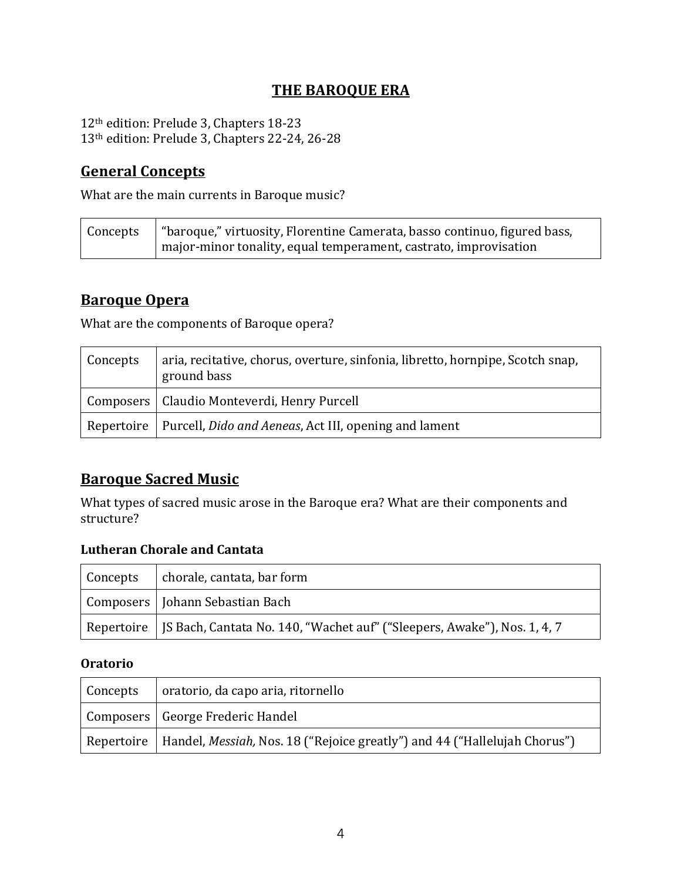# **THE BAROQUE ERA**

12<sup>th</sup> edition: Prelude 3, Chapters 18-23 13<sup>th</sup> edition: Prelude 3, Chapters 22-24, 26-28

### **General Concepts**

What are the main currents in Baroque music?

| Concepts | "baroque," virtuosity, Florentine Camerata, basso continuo, figured bass, |
|----------|---------------------------------------------------------------------------|
|          | major-minor tonality, equal temperament, castrato, improvisation          |

### **Baroque Opera**

What are the components of Baroque opera?

| Concepts | aria, recitative, chorus, overture, sinfonia, libretto, hornpipe, Scotch snap,<br>ground bass |
|----------|-----------------------------------------------------------------------------------------------|
|          | Composers   Claudio Monteverdi, Henry Purcell                                                 |
|          | Repertoire   Purcell, Dido and Aeneas, Act III, opening and lament                            |

### **Baroque Sacred Music**

What types of sacred music arose in the Baroque era? What are their components and structure?

#### **Lutheran Chorale and Cantata**

| Concepts | chorale, cantata, bar form                                                            |
|----------|---------------------------------------------------------------------------------------|
|          | Composers   Johann Sebastian Bach                                                     |
|          | Repertoire   JS Bach, Cantata No. 140, "Wachet auf" ("Sleepers, Awake"), Nos. 1, 4, 7 |

#### **Oratorio**

| <b>Concepts</b> | oratorio, da capo aria, ritornello                                                                                  |
|-----------------|---------------------------------------------------------------------------------------------------------------------|
|                 | Composers   George Frederic Handel                                                                                  |
|                 | $\parallel$ Repertoire $\parallel$ Handel, <i>Messiah,</i> Nos. 18 ("Rejoice greatly") and 44 ("Hallelujah Chorus") |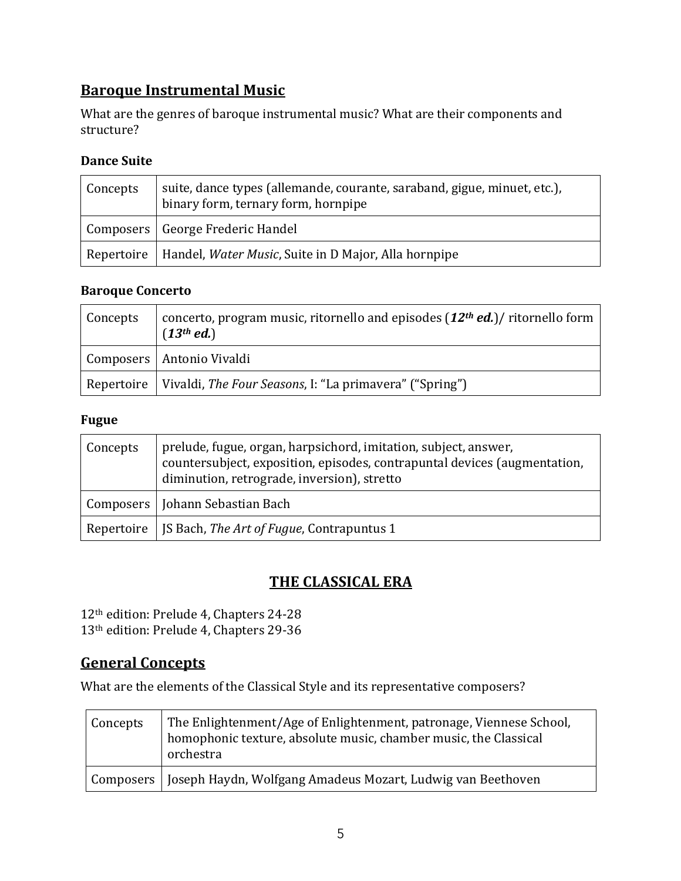# **Baroque Instrumental Music**

What are the genres of baroque instrumental music? What are their components and structure?

#### **Dance Suite**

| Concepts | suite, dance types (allemande, courante, saraband, gigue, minuet, etc.),<br>binary form, ternary form, hornpipe |
|----------|-----------------------------------------------------------------------------------------------------------------|
|          | Composers   George Frederic Handel                                                                              |
|          | Repertoire   Handel, Water Music, Suite in D Major, Alla hornpipe                                               |

#### **Baroque Concerto**

| Concepts | concerto, program music, ritornello and episodes $(12th ed.)$ ritornello form<br>(13 <sup>th</sup> ed.) |
|----------|---------------------------------------------------------------------------------------------------------|
|          | Composers   Antonio Vivaldi                                                                             |
|          | Repertoire   Vivaldi, The Four Seasons, I: "La primavera" ("Spring")                                    |

#### **Fugue**

| Concepts | prelude, fugue, organ, harpsichord, imitation, subject, answer,<br>countersubject, exposition, episodes, contrapuntal devices (augmentation,<br>diminution, retrograde, inversion), stretto |
|----------|---------------------------------------------------------------------------------------------------------------------------------------------------------------------------------------------|
|          | Composers   Johann Sebastian Bach                                                                                                                                                           |
|          | Repertoire   JS Bach, The Art of Fugue, Contrapuntus 1                                                                                                                                      |

### **THE CLASSICAL ERA**

12<sup>th</sup> edition: Prelude 4, Chapters 24-28 13<sup>th</sup> edition: Prelude 4, Chapters 29-36

### **General Concepts**

What are the elements of the Classical Style and its representative composers?

| Concepts | The Enlightenment/Age of Enlightenment, patronage, Viennese School,<br>homophonic texture, absolute music, chamber music, the Classical<br>orchestra |
|----------|------------------------------------------------------------------------------------------------------------------------------------------------------|
|          | Composers   Joseph Haydn, Wolfgang Amadeus Mozart, Ludwig van Beethoven                                                                              |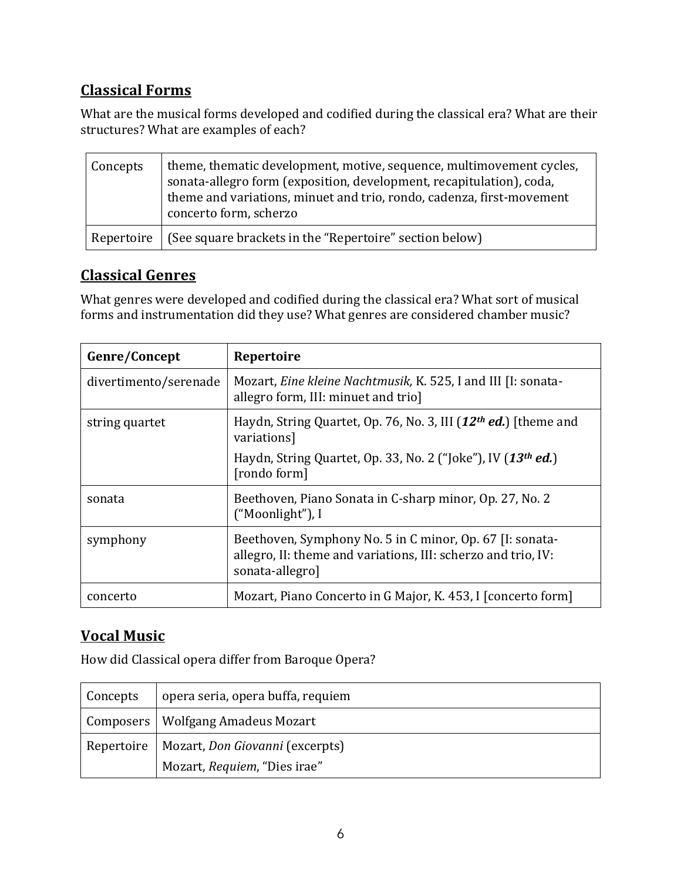# **Classical Forms**

What are the musical forms developed and codified during the classical era? What are their structures? What are examples of each?

| Concepts   | theme, thematic development, motive, sequence, multimovement cycles,<br>sonata-allegro form (exposition, development, recapitulation), coda,<br>theme and variations, minuet and trio, rondo, cadenza, first-movement<br>concerto form, scherzo |
|------------|-------------------------------------------------------------------------------------------------------------------------------------------------------------------------------------------------------------------------------------------------|
| Repertoire | (See square brackets in the "Repertoire" section below)                                                                                                                                                                                         |

### **Classical Genres**

What genres were developed and codified during the classical era? What sort of musical forms and instrumentation did they use? What genres are considered chamber music?

| Genre/Concept         | Repertoire                                                                                                                                   |
|-----------------------|----------------------------------------------------------------------------------------------------------------------------------------------|
| divertimento/serenade | Mozart, Eine kleine Nachtmusik, K. 525, I and III [I: sonata-<br>allegro form, III: minuet and trio]                                         |
| string quartet        | Haydn, String Quartet, Op. 76, No. 3, III $(12th ed.)$ [theme and<br>variations]                                                             |
|                       | Haydn, String Quartet, Op. 33, No. 2 ("Joke"), IV $(13th ed.)$<br>[rondo form]                                                               |
| sonata                | Beethoven, Piano Sonata in C-sharp minor, Op. 27, No. 2<br>("Moonlight"), I                                                                  |
| symphony              | Beethoven, Symphony No. 5 in C minor, Op. 67 [I: sonata-<br>allegro, II: theme and variations, III: scherzo and trio, IV:<br>sonata-allegro] |
| concerto              | Mozart, Piano Concerto in G Major, K. 453, I [concerto form]                                                                                 |

# **Vocal Music**

How did Classical opera differ from Baroque Opera?

| <b>Concepts</b> | opera seria, opera buffa, requiem            |  |
|-----------------|----------------------------------------------|--|
|                 | Composers   Wolfgang Amadeus Mozart          |  |
|                 | Repertoire   Mozart, Don Giovanni (excerpts) |  |
|                 | Mozart, Requiem, "Dies irae"                 |  |